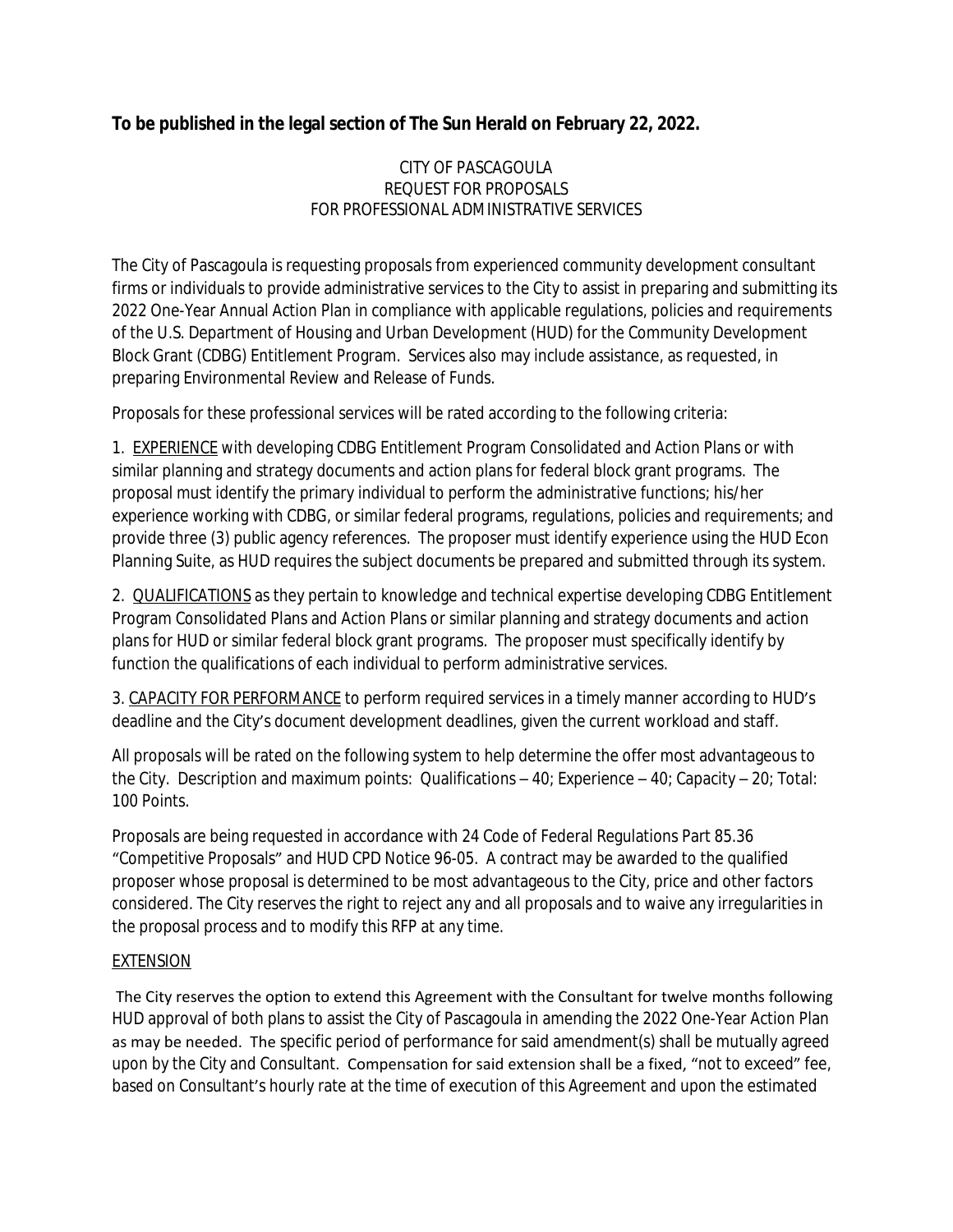## **To be published in the legal section of The Sun Herald on February 22, 2022.**

## CITY OF PASCAGOULA REQUEST FOR PROPOSALS FOR PROFESSIONAL ADMINISTRATIVE SERVICES

The City of Pascagoula is requesting proposals from experienced community development consultant firms or individuals to provide administrative services to the City to assist in preparing and submitting its 2022 One-Year Annual Action Plan in compliance with applicable regulations, policies and requirements of the U.S. Department of Housing and Urban Development (HUD) for the Community Development Block Grant (CDBG) Entitlement Program. Services also may include assistance, as requested, in preparing Environmental Review and Release of Funds.

Proposals for these professional services will be rated according to the following criteria:

1. EXPERIENCE with developing CDBG Entitlement Program Consolidated and Action Plans or with similar planning and strategy documents and action plans for federal block grant programs. The proposal must identify the primary individual to perform the administrative functions; his/her experience working with CDBG, or similar federal programs, regulations, policies and requirements; and provide three (3) public agency references. The proposer must identify experience using the HUD Econ Planning Suite, as HUD requires the subject documents be prepared and submitted through its system.

2. **QUALIFICATIONS** as they pertain to knowledge and technical expertise developing CDBG Entitlement Program Consolidated Plans and Action Plans or similar planning and strategy documents and action plans for HUD or similar federal block grant programs. The proposer must specifically identify by function the qualifications of each individual to perform administrative services.

3. CAPACITY FOR PERFORMANCE to perform required services in a timely manner according to HUD's deadline and the City's document development deadlines, given the current workload and staff.

All proposals will be rated on the following system to help determine the offer most advantageous to the City. Description and maximum points: Qualifications – 40; Experience – 40; Capacity – 20; Total: 100 Points.

Proposals are being requested in accordance with 24 Code of Federal Regulations Part 85.36 "Competitive Proposals" and HUD CPD Notice 96-05. A contract may be awarded to the qualified proposer whose proposal is determined to be most advantageous to the City, price and other factors considered. The City reserves the right to reject any and all proposals and to waive any irregularities in the proposal process and to modify this RFP at any time.

## EXTENSION

 The City reserves the option to extend this Agreement with the Consultant for twelve months following HUD approval of both plans to assist the City of Pascagoula in amending the 2022 One-Year Action Plan as may be needed. The specific period of performance for said amendment(s) shall be mutually agreed upon by the City and Consultant. Compensation for said extension shall be a fixed, "not to exceed" fee, based on Consultant's hourly rate at the time of execution of this Agreement and upon the estimated